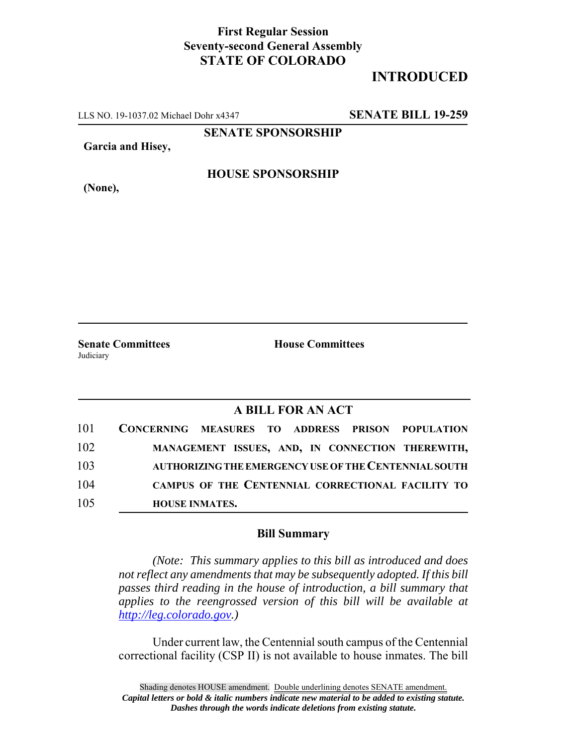## **First Regular Session Seventy-second General Assembly STATE OF COLORADO**

# **INTRODUCED**

LLS NO. 19-1037.02 Michael Dohr x4347 **SENATE BILL 19-259**

**SENATE SPONSORSHIP**

**Garcia and Hisey,**

#### **HOUSE SPONSORSHIP**

**(None),**

Judiciary

**Senate Committees House Committees** 

### **A BILL FOR AN ACT**

| 101 | CONCERNING MEASURES TO ADDRESS PRISON POPULATION |  |  |                                                       |
|-----|--------------------------------------------------|--|--|-------------------------------------------------------|
| 102 |                                                  |  |  | MANAGEMENT ISSUES, AND, IN CONNECTION THEREWITH,      |
| 103 |                                                  |  |  | AUTHORIZING THE EMERGENCY USE OF THE CENTENNIAL SOUTH |
| 104 |                                                  |  |  | CAMPUS OF THE CENTENNIAL CORRECTIONAL FACILITY TO     |
| 105 | <b>HOUSE INMATES.</b>                            |  |  |                                                       |

#### **Bill Summary**

*(Note: This summary applies to this bill as introduced and does not reflect any amendments that may be subsequently adopted. If this bill passes third reading in the house of introduction, a bill summary that applies to the reengrossed version of this bill will be available at http://leg.colorado.gov.)*

Under current law, the Centennial south campus of the Centennial correctional facility (CSP II) is not available to house inmates. The bill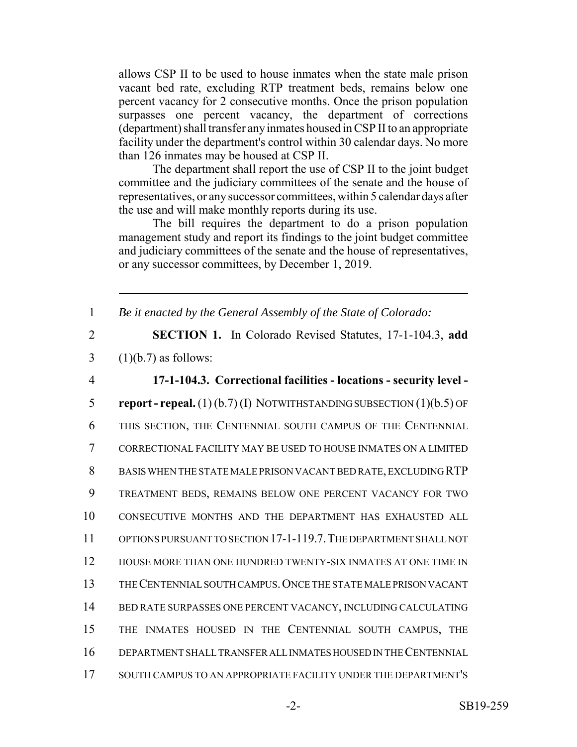allows CSP II to be used to house inmates when the state male prison vacant bed rate, excluding RTP treatment beds, remains below one percent vacancy for 2 consecutive months. Once the prison population surpasses one percent vacancy, the department of corrections (department) shall transfer any inmates housed in CSP II to an appropriate facility under the department's control within 30 calendar days. No more than 126 inmates may be housed at CSP II.

The department shall report the use of CSP II to the joint budget committee and the judiciary committees of the senate and the house of representatives, or any successor committees, within 5 calendar days after the use and will make monthly reports during its use.

The bill requires the department to do a prison population management study and report its findings to the joint budget committee and judiciary committees of the senate and the house of representatives, or any successor committees, by December 1, 2019.

1 *Be it enacted by the General Assembly of the State of Colorado:*

2 **SECTION 1.** In Colorado Revised Statutes, 17-1-104.3, **add**  $3 \quad (1)(b.7)$  as follows:

 **17-1-104.3. Correctional facilities - locations - security level - report - repeal.** (1) (b.7) (I) NOTWITHSTANDING SUBSECTION (1)(b.5) OF THIS SECTION, THE CENTENNIAL SOUTH CAMPUS OF THE CENTENNIAL CORRECTIONAL FACILITY MAY BE USED TO HOUSE INMATES ON A LIMITED BASIS WHEN THE STATE MALE PRISON VACANT BED RATE, EXCLUDING RTP TREATMENT BEDS, REMAINS BELOW ONE PERCENT VACANCY FOR TWO CONSECUTIVE MONTHS AND THE DEPARTMENT HAS EXHAUSTED ALL OPTIONS PURSUANT TO SECTION 17-1-119.7.THE DEPARTMENT SHALL NOT HOUSE MORE THAN ONE HUNDRED TWENTY-SIX INMATES AT ONE TIME IN THE CENTENNIAL SOUTH CAMPUS.ONCE THE STATE MALE PRISON VACANT BED RATE SURPASSES ONE PERCENT VACANCY, INCLUDING CALCULATING THE INMATES HOUSED IN THE CENTENNIAL SOUTH CAMPUS, THE DEPARTMENT SHALL TRANSFER ALL INMATES HOUSED IN THE CENTENNIAL SOUTH CAMPUS TO AN APPROPRIATE FACILITY UNDER THE DEPARTMENT'S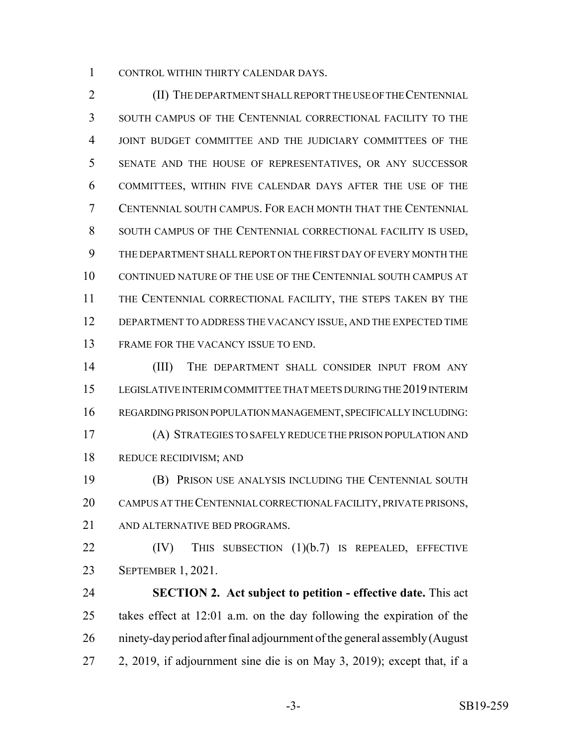CONTROL WITHIN THIRTY CALENDAR DAYS.

 (II) THE DEPARTMENT SHALL REPORT THE USE OF THE CENTENNIAL SOUTH CAMPUS OF THE CENTENNIAL CORRECTIONAL FACILITY TO THE JOINT BUDGET COMMITTEE AND THE JUDICIARY COMMITTEES OF THE SENATE AND THE HOUSE OF REPRESENTATIVES, OR ANY SUCCESSOR COMMITTEES, WITHIN FIVE CALENDAR DAYS AFTER THE USE OF THE CENTENNIAL SOUTH CAMPUS. FOR EACH MONTH THAT THE CENTENNIAL SOUTH CAMPUS OF THE CENTENNIAL CORRECTIONAL FACILITY IS USED, THE DEPARTMENT SHALL REPORT ON THE FIRST DAY OF EVERY MONTH THE CONTINUED NATURE OF THE USE OF THE CENTENNIAL SOUTH CAMPUS AT THE CENTENNIAL CORRECTIONAL FACILITY, THE STEPS TAKEN BY THE DEPARTMENT TO ADDRESS THE VACANCY ISSUE, AND THE EXPECTED TIME FRAME FOR THE VACANCY ISSUE TO END.

 (III) THE DEPARTMENT SHALL CONSIDER INPUT FROM ANY LEGISLATIVE INTERIM COMMITTEE THAT MEETS DURING THE 2019 INTERIM REGARDING PRISON POPULATION MANAGEMENT, SPECIFICALLY INCLUDING: (A) STRATEGIES TO SAFELY REDUCE THE PRISON POPULATION AND REDUCE RECIDIVISM; AND

 (B) PRISON USE ANALYSIS INCLUDING THE CENTENNIAL SOUTH CAMPUS AT THE CENTENNIAL CORRECTIONAL FACILITY, PRIVATE PRISONS, AND ALTERNATIVE BED PROGRAMS.

22 (IV) THIS SUBSECTION (1)(b.7) IS REPEALED, EFFECTIVE SEPTEMBER 1, 2021.

 **SECTION 2. Act subject to petition - effective date.** This act takes effect at 12:01 a.m. on the day following the expiration of the ninety-day period after final adjournment of the general assembly (August 2, 2019, if adjournment sine die is on May 3, 2019); except that, if a